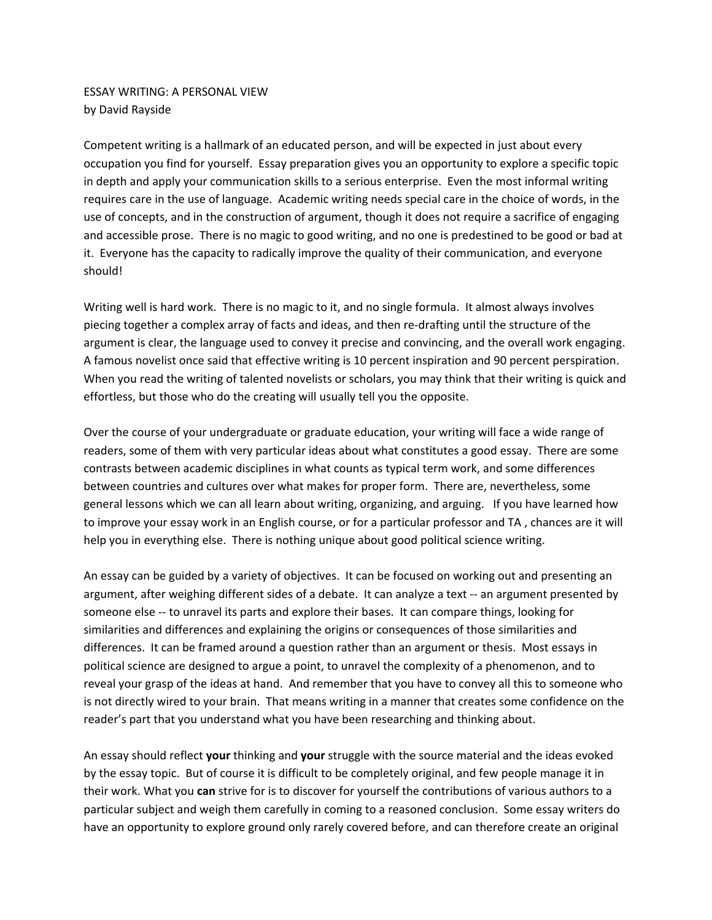ESSAY WRITING: A PERSONAL VIEW by David Rayside

Competent writing is a hallmark of an educated person, and will be expected in just about every occupation you find for yourself. Essay preparation gives you an opportunity to explore a specific topic in depth and apply your communication skills to a serious enterprise. Even the most informal writing requires care in the use of language. Academic writing needs special care in the choice of words, in the use of concepts, and in the construction of argument, though it does not require a sacrifice of engaging and accessible prose. There is no magic to good writing, and no one is predestined to be good or bad at it. Everyone has the capacity to radically improve the quality of their communication, and everyone should!

Writing well is hard work. There is no magic to it, and no single formula. It almost always involves piecing together a complex array of facts and ideas, and then re‐drafting until the structure of the argument is clear, the language used to convey it precise and convincing, and the overall work engaging. A famous novelist once said that effective writing is 10 percent inspiration and 90 percent perspiration. When you read the writing of talented novelists or scholars, you may think that their writing is quick and effortless, but those who do the creating will usually tell you the opposite.

Over the course of your undergraduate or graduate education, your writing will face a wide range of readers, some of them with very particular ideas about what constitutes a good essay. There are some contrasts between academic disciplines in what counts as typical term work, and some differences between countries and cultures over what makes for proper form. There are, nevertheless, some general lessons which we can all learn about writing, organizing, and arguing. If you have learned how to improve your essay work in an English course, or for a particular professor and TA , chances are it will help you in everything else. There is nothing unique about good political science writing.

An essay can be guided by a variety of objectives. It can be focused on working out and presenting an argument, after weighing different sides of a debate. It can analyze a text -- an argument presented by someone else -- to unravel its parts and explore their bases. It can compare things, looking for similarities and differences and explaining the origins or consequences of those similarities and differences. It can be framed around a question rather than an argument or thesis. Most essays in political science are designed to argue a point, to unravel the complexity of a phenomenon, and to reveal your grasp of the ideas at hand. And remember that you have to convey all this to someone who is not directly wired to your brain. That means writing in a manner that creates some confidence on the reader's part that you understand what you have been researching and thinking about.

An essay should reflect **your** thinking and **your** struggle with the source material and the ideas evoked by the essay topic. But of course it is difficult to be completely original, and few people manage it in their work. What you **can** strive for is to discover for yourself the contributions of various authors to a particular subject and weigh them carefully in coming to a reasoned conclusion. Some essay writers do have an opportunity to explore ground only rarely covered before, and can therefore create an original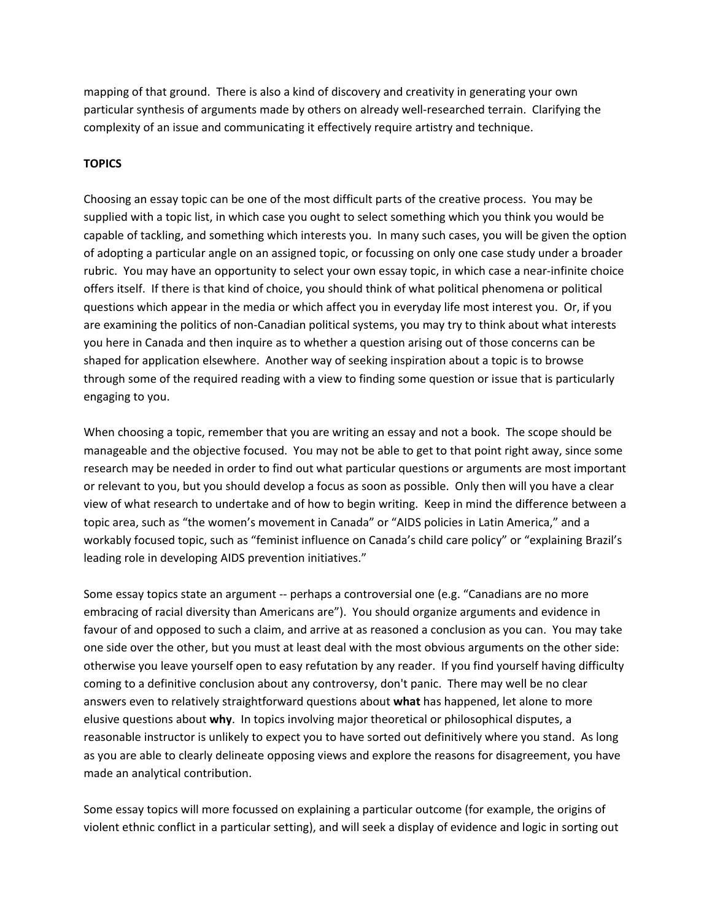mapping of that ground. There is also a kind of discovery and creativity in generating your own particular synthesis of arguments made by others on already well-researched terrain. Clarifying the complexity of an issue and communicating it effectively require artistry and technique.

## **TOPICS**

Choosing an essay topic can be one of the most difficult parts of the creative process. You may be supplied with a topic list, in which case you ought to select something which you think you would be capable of tackling, and something which interests you. In many such cases, you will be given the option of adopting a particular angle on an assigned topic, or focussing on only one case study under a broader rubric. You may have an opportunity to select your own essay topic, in which case a near‐infinite choice offers itself. If there is that kind of choice, you should think of what political phenomena or political questions which appear in the media or which affect you in everyday life most interest you. Or, if you are examining the politics of non-Canadian political systems, you may try to think about what interests you here in Canada and then inquire as to whether a question arising out of those concerns can be shaped for application elsewhere. Another way of seeking inspiration about a topic is to browse through some of the required reading with a view to finding some question or issue that is particularly engaging to you.

When choosing a topic, remember that you are writing an essay and not a book. The scope should be manageable and the objective focused. You may not be able to get to that point right away, since some research may be needed in order to find out what particular questions or arguments are most important or relevant to you, but you should develop a focus as soon as possible. Only then will you have a clear view of what research to undertake and of how to begin writing. Keep in mind the difference between a topic area, such as "the women's movement in Canada" or "AIDS policies in Latin America," and a workably focused topic, such as "feminist influence on Canada's child care policy" or "explaining Brazil's leading role in developing AIDS prevention initiatives."

Some essay topics state an argument ‐‐ perhaps a controversial one (e.g. "Canadians are no more embracing of racial diversity than Americans are"). You should organize arguments and evidence in favour of and opposed to such a claim, and arrive at as reasoned a conclusion as you can. You may take one side over the other, but you must at least deal with the most obvious arguments on the other side: otherwise you leave yourself open to easy refutation by any reader. If you find yourself having difficulty coming to a definitive conclusion about any controversy, don't panic. There may well be no clear answers even to relatively straightforward questions about **what** has happened, let alone to more elusive questions about **why**. In topics involving major theoretical or philosophical disputes, a reasonable instructor is unlikely to expect you to have sorted out definitively where you stand. As long as you are able to clearly delineate opposing views and explore the reasons for disagreement, you have made an analytical contribution.

Some essay topics will more focussed on explaining a particular outcome (for example, the origins of violent ethnic conflict in a particular setting), and will seek a display of evidence and logic in sorting out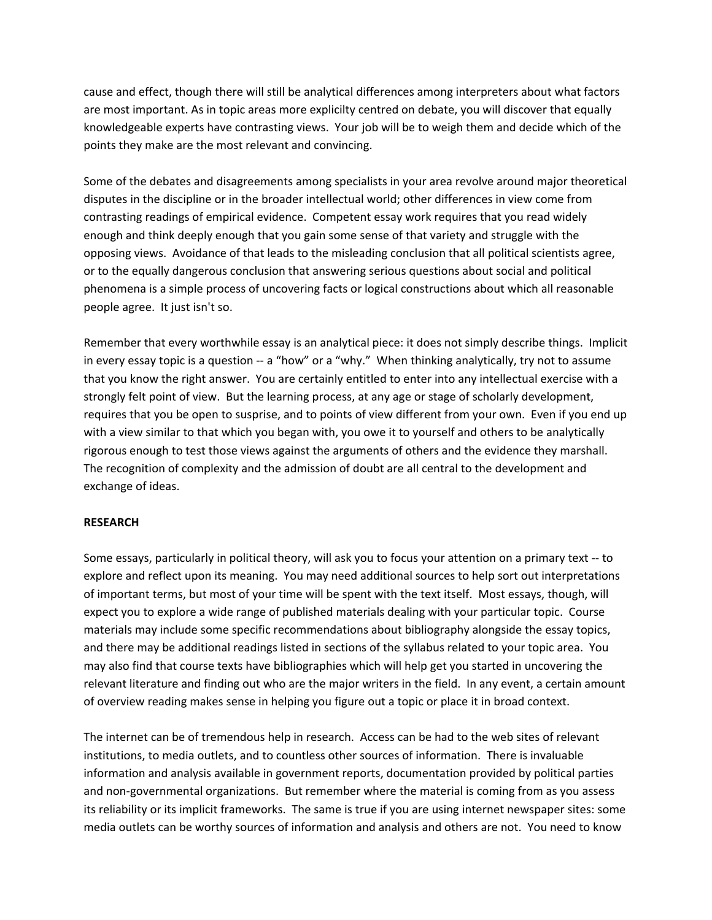cause and effect, though there will still be analytical differences among interpreters about what factors are most important. As in topic areas more explicilty centred on debate, you will discover that equally knowledgeable experts have contrasting views. Your job will be to weigh them and decide which of the points they make are the most relevant and convincing.

Some of the debates and disagreements among specialists in your area revolve around major theoretical disputes in the discipline or in the broader intellectual world; other differences in view come from contrasting readings of empirical evidence. Competent essay work requires that you read widely enough and think deeply enough that you gain some sense of that variety and struggle with the opposing views. Avoidance of that leads to the misleading conclusion that all political scientists agree, or to the equally dangerous conclusion that answering serious questions about social and political phenomena is a simple process of uncovering facts or logical constructions about which all reasonable people agree. It just isn't so.

Remember that every worthwhile essay is an analytical piece: it does not simply describe things. Implicit in every essay topic is a question ‐‐ a "how" or a "why." When thinking analytically, try not to assume that you know the right answer. You are certainly entitled to enter into any intellectual exercise with a strongly felt point of view. But the learning process, at any age or stage of scholarly development, requires that you be open to susprise, and to points of view different from your own. Even if you end up with a view similar to that which you began with, you owe it to yourself and others to be analytically rigorous enough to test those views against the arguments of others and the evidence they marshall. The recognition of complexity and the admission of doubt are all central to the development and exchange of ideas.

#### **RESEARCH**

Some essays, particularly in political theory, will ask you to focus your attention on a primary text ‐‐ to explore and reflect upon its meaning. You may need additional sources to help sort out interpretations of important terms, but most of your time will be spent with the text itself. Most essays, though, will expect you to explore a wide range of published materials dealing with your particular topic. Course materials may include some specific recommendations about bibliography alongside the essay topics, and there may be additional readings listed in sections of the syllabus related to your topic area. You may also find that course texts have bibliographies which will help get you started in uncovering the relevant literature and finding out who are the major writers in the field. In any event, a certain amount of overview reading makes sense in helping you figure out a topic or place it in broad context.

The internet can be of tremendous help in research. Access can be had to the web sites of relevant institutions, to media outlets, and to countless other sources of information. There is invaluable information and analysis available in government reports, documentation provided by political parties and non‐governmental organizations. But remember where the material is coming from as you assess its reliability or its implicit frameworks. The same is true if you are using internet newspaper sites: some media outlets can be worthy sources of information and analysis and others are not. You need to know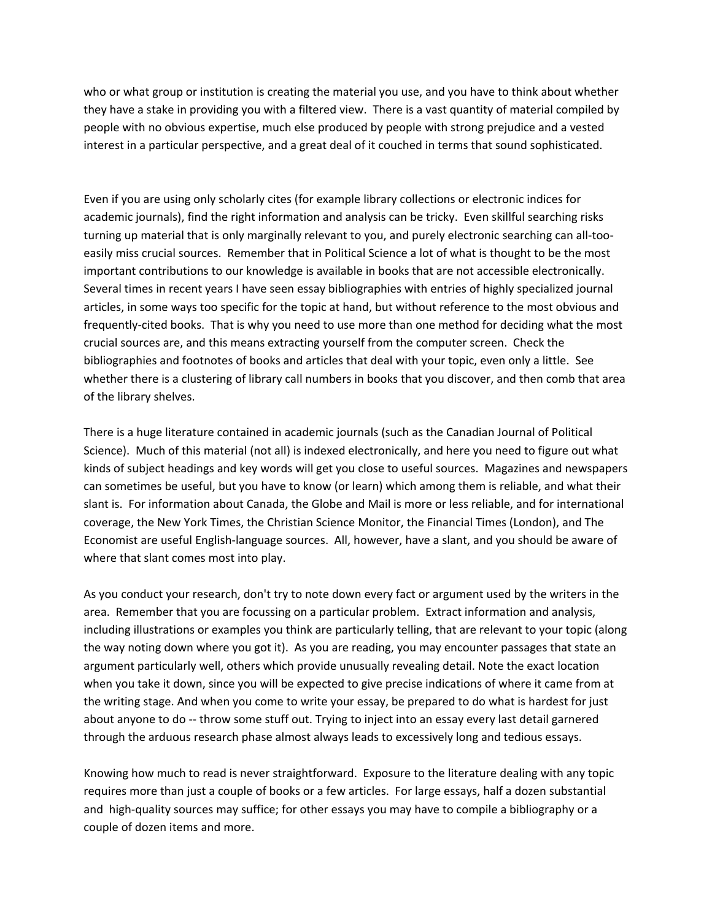who or what group or institution is creating the material you use, and you have to think about whether they have a stake in providing you with a filtered view. There is a vast quantity of material compiled by people with no obvious expertise, much else produced by people with strong prejudice and a vested interest in a particular perspective, and a great deal of it couched in terms that sound sophisticated.

Even if you are using only scholarly cites (for example library collections or electronic indices for academic journals), find the right information and analysis can be tricky. Even skillful searching risks turning up material that is only marginally relevant to you, and purely electronic searching can all‐too‐ easily miss crucial sources. Remember that in Political Science a lot of what is thought to be the most important contributions to our knowledge is available in books that are not accessible electronically. Several times in recent years I have seen essay bibliographies with entries of highly specialized journal articles, in some ways too specific for the topic at hand, but without reference to the most obvious and frequently‐cited books. That is why you need to use more than one method for deciding what the most crucial sources are, and this means extracting yourself from the computer screen. Check the bibliographies and footnotes of books and articles that deal with your topic, even only a little. See whether there is a clustering of library call numbers in books that you discover, and then comb that area of the library shelves.

There is a huge literature contained in academic journals (such as the Canadian Journal of Political Science). Much of this material (not all) is indexed electronically, and here you need to figure out what kinds of subject headings and key words will get you close to useful sources. Magazines and newspapers can sometimes be useful, but you have to know (or learn) which among them is reliable, and what their slant is. For information about Canada, the Globe and Mail is more or less reliable, and for international coverage, the New York Times, the Christian Science Monitor, the Financial Times (London), and The Economist are useful English‐language sources. All, however, have a slant, and you should be aware of where that slant comes most into play.

As you conduct your research, don't try to note down every fact or argument used by the writers in the area. Remember that you are focussing on a particular problem. Extract information and analysis, including illustrations or examples you think are particularly telling, that are relevant to your topic (along the way noting down where you got it). As you are reading, you may encounter passages that state an argument particularly well, others which provide unusually revealing detail. Note the exact location when you take it down, since you will be expected to give precise indications of where it came from at the writing stage. And when you come to write your essay, be prepared to do what is hardest for just about anyone to do ‐‐ throw some stuff out. Trying to inject into an essay every last detail garnered through the arduous research phase almost always leads to excessively long and tedious essays.

Knowing how much to read is never straightforward. Exposure to the literature dealing with any topic requires more than just a couple of books or a few articles. For large essays, half a dozen substantial and high-quality sources may suffice; for other essays you may have to compile a bibliography or a couple of dozen items and more.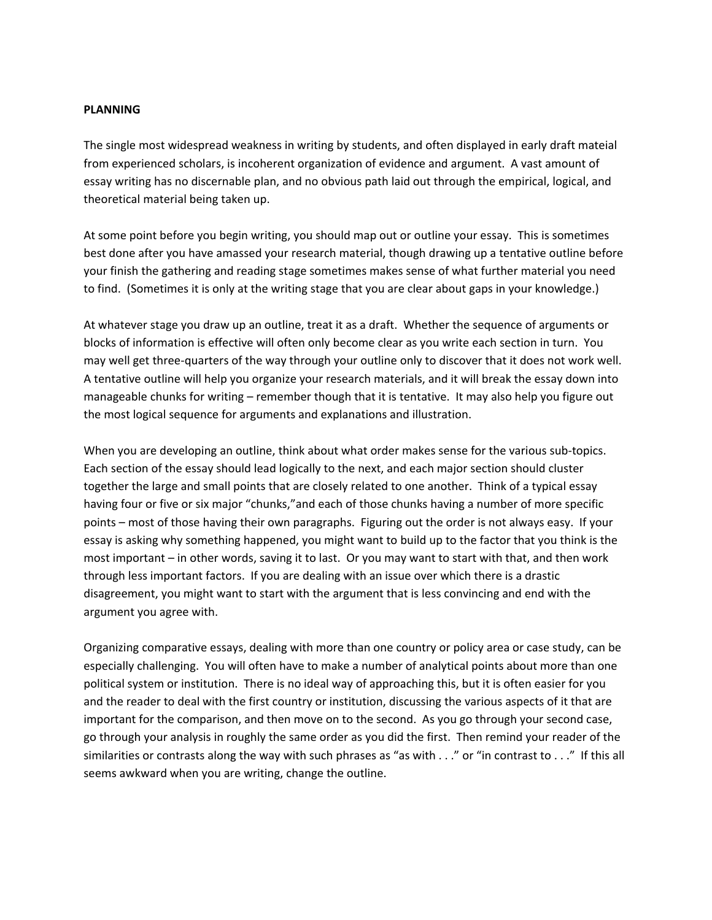#### **PLANNING**

The single most widespread weakness in writing by students, and often displayed in early draft mateial from experienced scholars, is incoherent organization of evidence and argument. A vast amount of essay writing has no discernable plan, and no obvious path laid out through the empirical, logical, and theoretical material being taken up.

At some point before you begin writing, you should map out or outline your essay. This is sometimes best done after you have amassed your research material, though drawing up a tentative outline before your finish the gathering and reading stage sometimes makes sense of what further material you need to find. (Sometimes it is only at the writing stage that you are clear about gaps in your knowledge.)

At whatever stage you draw up an outline, treat it as a draft. Whether the sequence of arguments or blocks of information is effective will often only become clear as you write each section in turn. You may well get three-quarters of the way through your outline only to discover that it does not work well. A tentative outline will help you organize your research materials, and it will break the essay down into manageable chunks for writing – remember though that it is tentative. It may also help you figure out the most logical sequence for arguments and explanations and illustration.

When you are developing an outline, think about what order makes sense for the various sub‐topics. Each section of the essay should lead logically to the next, and each major section should cluster together the large and small points that are closely related to one another. Think of a typical essay having four or five or six major "chunks,"and each of those chunks having a number of more specific points – most of those having their own paragraphs. Figuring out the order is not always easy. If your essay is asking why something happened, you might want to build up to the factor that you think is the most important – in other words, saving it to last. Or you may want to start with that, and then work through less important factors. If you are dealing with an issue over which there is a drastic disagreement, you might want to start with the argument that is less convincing and end with the argument you agree with.

Organizing comparative essays, dealing with more than one country or policy area or case study, can be especially challenging. You will often have to make a number of analytical points about more than one political system or institution. There is no ideal way of approaching this, but it is often easier for you and the reader to deal with the first country or institution, discussing the various aspects of it that are important for the comparison, and then move on to the second. As you go through your second case, go through your analysis in roughly the same order as you did the first. Then remind your reader of the similarities or contrasts along the way with such phrases as "as with . . ." or "in contrast to . . ." If this all seems awkward when you are writing, change the outline.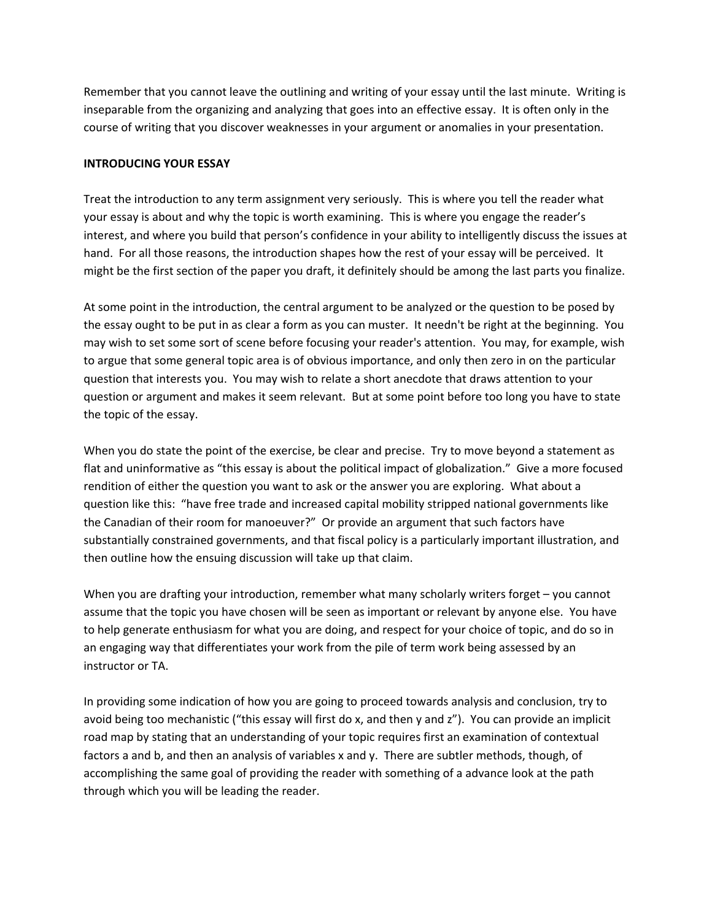Remember that you cannot leave the outlining and writing of your essay until the last minute. Writing is inseparable from the organizing and analyzing that goes into an effective essay. It is often only in the course of writing that you discover weaknesses in your argument or anomalies in your presentation.

#### **INTRODUCING YOUR ESSAY**

Treat the introduction to any term assignment very seriously. This is where you tell the reader what your essay is about and why the topic is worth examining. This is where you engage the reader's interest, and where you build that person's confidence in your ability to intelligently discuss the issues at hand. For all those reasons, the introduction shapes how the rest of your essay will be perceived. It might be the first section of the paper you draft, it definitely should be among the last parts you finalize.

At some point in the introduction, the central argument to be analyzed or the question to be posed by the essay ought to be put in as clear a form as you can muster. It needn't be right at the beginning. You may wish to set some sort of scene before focusing your reader's attention. You may, for example, wish to argue that some general topic area is of obvious importance, and only then zero in on the particular question that interests you. You may wish to relate a short anecdote that draws attention to your question or argument and makes it seem relevant. But at some point before too long you have to state the topic of the essay.

When you do state the point of the exercise, be clear and precise. Try to move beyond a statement as flat and uninformative as "this essay is about the political impact of globalization." Give a more focused rendition of either the question you want to ask or the answer you are exploring. What about a question like this: "have free trade and increased capital mobility stripped national governments like the Canadian of their room for manoeuver?" Or provide an argument that such factors have substantially constrained governments, and that fiscal policy is a particularly important illustration, and then outline how the ensuing discussion will take up that claim.

When you are drafting your introduction, remember what many scholarly writers forget – you cannot assume that the topic you have chosen will be seen as important or relevant by anyone else. You have to help generate enthusiasm for what you are doing, and respect for your choice of topic, and do so in an engaging way that differentiates your work from the pile of term work being assessed by an instructor or TA.

In providing some indication of how you are going to proceed towards analysis and conclusion, try to avoid being too mechanistic ("this essay will first do x, and then y and z"). You can provide an implicit road map by stating that an understanding of your topic requires first an examination of contextual factors a and b, and then an analysis of variables x and y. There are subtler methods, though, of accomplishing the same goal of providing the reader with something of a advance look at the path through which you will be leading the reader.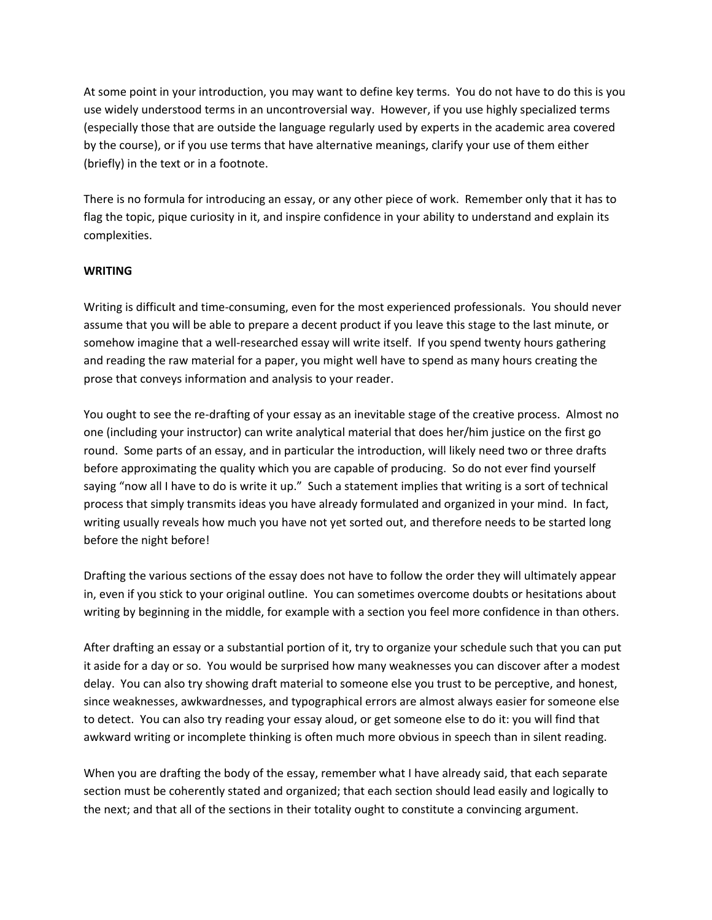At some point in your introduction, you may want to define key terms. You do not have to do this is you use widely understood terms in an uncontroversial way. However, if you use highly specialized terms (especially those that are outside the language regularly used by experts in the academic area covered by the course), or if you use terms that have alternative meanings, clarify your use of them either (briefly) in the text or in a footnote.

There is no formula for introducing an essay, or any other piece of work. Remember only that it has to flag the topic, pique curiosity in it, and inspire confidence in your ability to understand and explain its complexities.

# **WRITING**

Writing is difficult and time‐consuming, even for the most experienced professionals. You should never assume that you will be able to prepare a decent product if you leave this stage to the last minute, or somehow imagine that a well-researched essay will write itself. If you spend twenty hours gathering and reading the raw material for a paper, you might well have to spend as many hours creating the prose that conveys information and analysis to your reader.

You ought to see the re-drafting of your essay as an inevitable stage of the creative process. Almost no one (including your instructor) can write analytical material that does her/him justice on the first go round. Some parts of an essay, and in particular the introduction, will likely need two or three drafts before approximating the quality which you are capable of producing. So do not ever find yourself saying "now all I have to do is write it up." Such a statement implies that writing is a sort of technical process that simply transmits ideas you have already formulated and organized in your mind. In fact, writing usually reveals how much you have not yet sorted out, and therefore needs to be started long before the night before!

Drafting the various sections of the essay does not have to follow the order they will ultimately appear in, even if you stick to your original outline. You can sometimes overcome doubts or hesitations about writing by beginning in the middle, for example with a section you feel more confidence in than others.

After drafting an essay or a substantial portion of it, try to organize your schedule such that you can put it aside for a day or so. You would be surprised how many weaknesses you can discover after a modest delay. You can also try showing draft material to someone else you trust to be perceptive, and honest, since weaknesses, awkwardnesses, and typographical errors are almost always easier for someone else to detect. You can also try reading your essay aloud, or get someone else to do it: you will find that awkward writing or incomplete thinking is often much more obvious in speech than in silent reading.

When you are drafting the body of the essay, remember what I have already said, that each separate section must be coherently stated and organized; that each section should lead easily and logically to the next; and that all of the sections in their totality ought to constitute a convincing argument.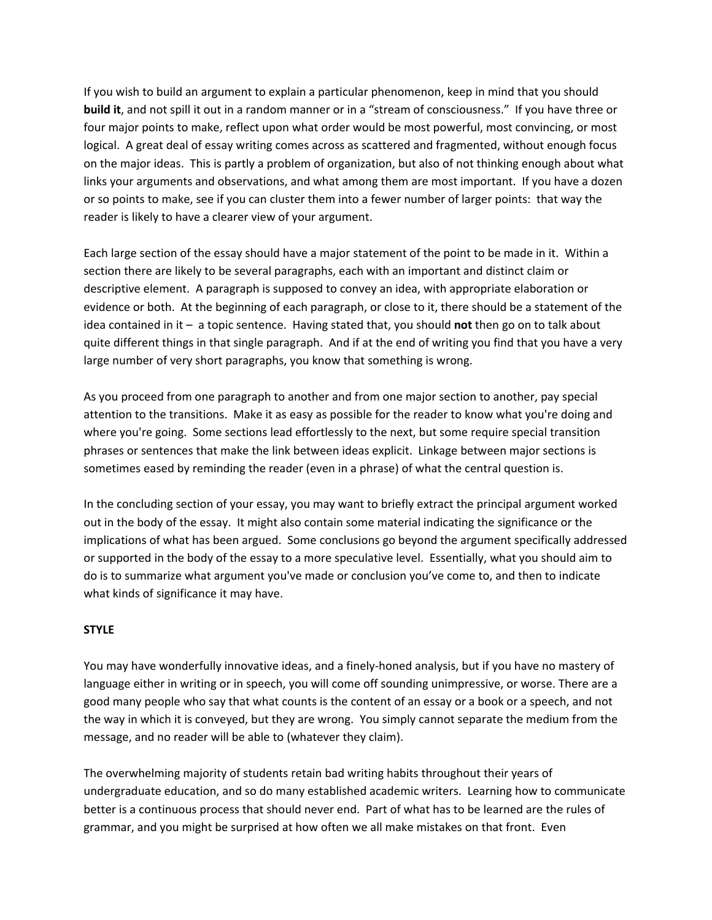If you wish to build an argument to explain a particular phenomenon, keep in mind that you should **build it**, and not spill it out in a random manner or in a "stream of consciousness." If you have three or four major points to make, reflect upon what order would be most powerful, most convincing, or most logical. A great deal of essay writing comes across as scattered and fragmented, without enough focus on the major ideas. This is partly a problem of organization, but also of not thinking enough about what links your arguments and observations, and what among them are most important. If you have a dozen or so points to make, see if you can cluster them into a fewer number of larger points: that way the reader is likely to have a clearer view of your argument.

Each large section of the essay should have a major statement of the point to be made in it. Within a section there are likely to be several paragraphs, each with an important and distinct claim or descriptive element. A paragraph is supposed to convey an idea, with appropriate elaboration or evidence or both. At the beginning of each paragraph, or close to it, there should be a statement of the idea contained in it – a topic sentence. Having stated that, you should **not** then go on to talk about quite different things in that single paragraph. And if at the end of writing you find that you have a very large number of very short paragraphs, you know that something is wrong.

As you proceed from one paragraph to another and from one major section to another, pay special attention to the transitions. Make it as easy as possible for the reader to know what you're doing and where you're going. Some sections lead effortlessly to the next, but some require special transition phrases or sentences that make the link between ideas explicit. Linkage between major sections is sometimes eased by reminding the reader (even in a phrase) of what the central question is.

In the concluding section of your essay, you may want to briefly extract the principal argument worked out in the body of the essay. It might also contain some material indicating the significance or the implications of what has been argued. Some conclusions go beyond the argument specifically addressed or supported in the body of the essay to a more speculative level. Essentially, what you should aim to do is to summarize what argument you've made or conclusion you've come to, and then to indicate what kinds of significance it may have.

## **STYLE**

You may have wonderfully innovative ideas, and a finely‐honed analysis, but if you have no mastery of language either in writing or in speech, you will come off sounding unimpressive, or worse. There are a good many people who say that what counts is the content of an essay or a book or a speech, and not the way in which it is conveyed, but they are wrong. You simply cannot separate the medium from the message, and no reader will be able to (whatever they claim).

The overwhelming majority of students retain bad writing habits throughout their years of undergraduate education, and so do many established academic writers. Learning how to communicate better is a continuous process that should never end. Part of what has to be learned are the rules of grammar, and you might be surprised at how often we all make mistakes on that front. Even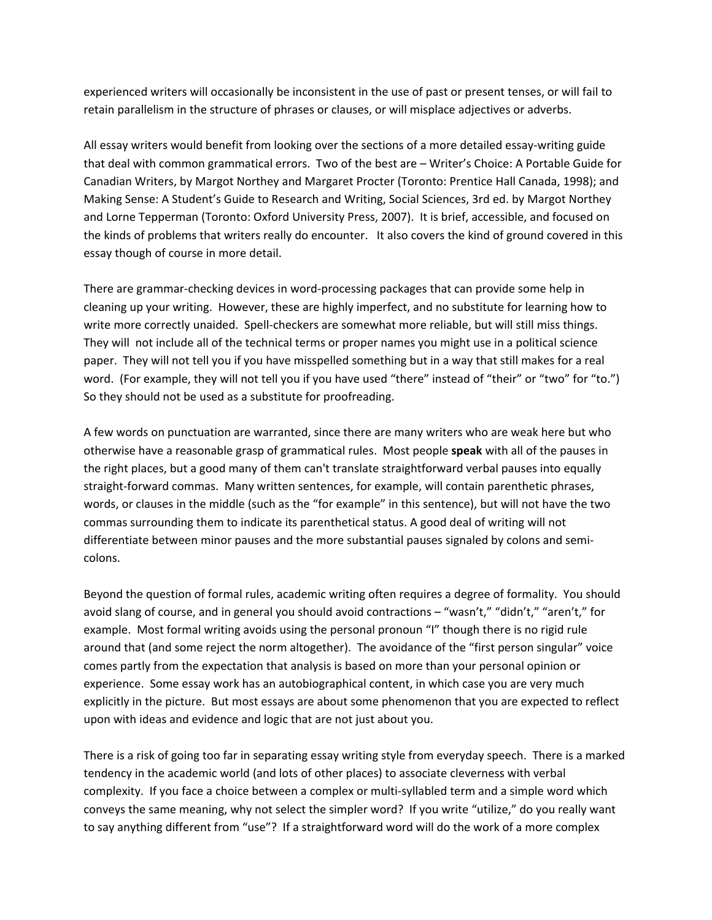experienced writers will occasionally be inconsistent in the use of past or present tenses, or will fail to retain parallelism in the structure of phrases or clauses, or will misplace adjectives or adverbs.

All essay writers would benefit from looking over the sections of a more detailed essay‐writing guide that deal with common grammatical errors. Two of the best are – Writer's Choice: A Portable Guide for Canadian Writers, by Margot Northey and Margaret Procter (Toronto: Prentice Hall Canada, 1998); and Making Sense: A Student's Guide to Research and Writing, Social Sciences, 3rd ed. by Margot Northey and Lorne Tepperman (Toronto: Oxford University Press, 2007). It is brief, accessible, and focused on the kinds of problems that writers really do encounter. It also covers the kind of ground covered in this essay though of course in more detail.

There are grammar‐checking devices in word‐processing packages that can provide some help in cleaning up your writing. However, these are highly imperfect, and no substitute for learning how to write more correctly unaided. Spell-checkers are somewhat more reliable, but will still miss things. They will not include all of the technical terms or proper names you might use in a political science paper. They will not tell you if you have misspelled something but in a way that still makes for a real word. (For example, they will not tell you if you have used "there" instead of "their" or "two" for "to.") So they should not be used as a substitute for proofreading.

A few words on punctuation are warranted, since there are many writers who are weak here but who otherwise have a reasonable grasp of grammatical rules. Most people **speak** with all of the pauses in the right places, but a good many of them can't translate straightforward verbal pauses into equally straight-forward commas. Many written sentences, for example, will contain parenthetic phrases, words, or clauses in the middle (such as the "for example" in this sentence), but will not have the two commas surrounding them to indicate its parenthetical status. A good deal of writing will not differentiate between minor pauses and the more substantial pauses signaled by colons and semi‐ colons.

Beyond the question of formal rules, academic writing often requires a degree of formality. You should avoid slang of course, and in general you should avoid contractions – "wasn't," "didn't," "aren't," for example. Most formal writing avoids using the personal pronoun "I" though there is no rigid rule around that (and some reject the norm altogether). The avoidance of the "first person singular" voice comes partly from the expectation that analysis is based on more than your personal opinion or experience. Some essay work has an autobiographical content, in which case you are very much explicitly in the picture. But most essays are about some phenomenon that you are expected to reflect upon with ideas and evidence and logic that are not just about you.

There is a risk of going too far in separating essay writing style from everyday speech. There is a marked tendency in the academic world (and lots of other places) to associate cleverness with verbal complexity. If you face a choice between a complex or multi‐syllabled term and a simple word which conveys the same meaning, why not select the simpler word? If you write "utilize," do you really want to say anything different from "use"? If a straightforward word will do the work of a more complex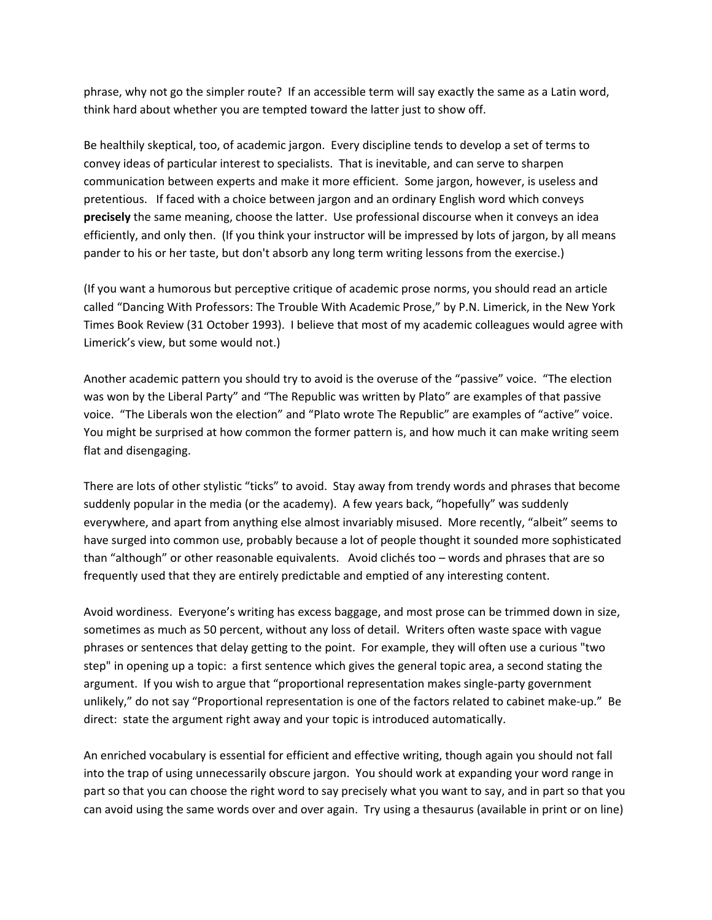phrase, why not go the simpler route? If an accessible term will say exactly the same as a Latin word, think hard about whether you are tempted toward the latter just to show off.

Be healthily skeptical, too, of academic jargon. Every discipline tends to develop a set of terms to convey ideas of particular interest to specialists. That is inevitable, and can serve to sharpen communication between experts and make it more efficient. Some jargon, however, is useless and pretentious. If faced with a choice between jargon and an ordinary English word which conveys **precisely** the same meaning, choose the latter. Use professional discourse when it conveys an idea efficiently, and only then. (If you think your instructor will be impressed by lots of jargon, by all means pander to his or her taste, but don't absorb any long term writing lessons from the exercise.)

(If you want a humorous but perceptive critique of academic prose norms, you should read an article called "Dancing With Professors: The Trouble With Academic Prose," by P.N. Limerick, in the New York Times Book Review (31 October 1993). I believe that most of my academic colleagues would agree with Limerick's view, but some would not.)

Another academic pattern you should try to avoid is the overuse of the "passive" voice. "The election was won by the Liberal Party" and "The Republic was written by Plato" are examples of that passive voice. "The Liberals won the election" and "Plato wrote The Republic" are examples of "active" voice. You might be surprised at how common the former pattern is, and how much it can make writing seem flat and disengaging.

There are lots of other stylistic "ticks" to avoid. Stay away from trendy words and phrases that become suddenly popular in the media (or the academy). A few years back, "hopefully" was suddenly everywhere, and apart from anything else almost invariably misused. More recently, "albeit" seems to have surged into common use, probably because a lot of people thought it sounded more sophisticated than "although" or other reasonable equivalents. Avoid clichés too – words and phrases that are so frequently used that they are entirely predictable and emptied of any interesting content.

Avoid wordiness. Everyone's writing has excess baggage, and most prose can be trimmed down in size, sometimes as much as 50 percent, without any loss of detail. Writers often waste space with vague phrases or sentences that delay getting to the point. For example, they will often use a curious "two step" in opening up a topic: a first sentence which gives the general topic area, a second stating the argument. If you wish to argue that "proportional representation makes single‐party government unlikely," do not say "Proportional representation is one of the factors related to cabinet make-up." Be direct: state the argument right away and your topic is introduced automatically.

An enriched vocabulary is essential for efficient and effective writing, though again you should not fall into the trap of using unnecessarily obscure jargon. You should work at expanding your word range in part so that you can choose the right word to say precisely what you want to say, and in part so that you can avoid using the same words over and over again. Try using a thesaurus (available in print or on line)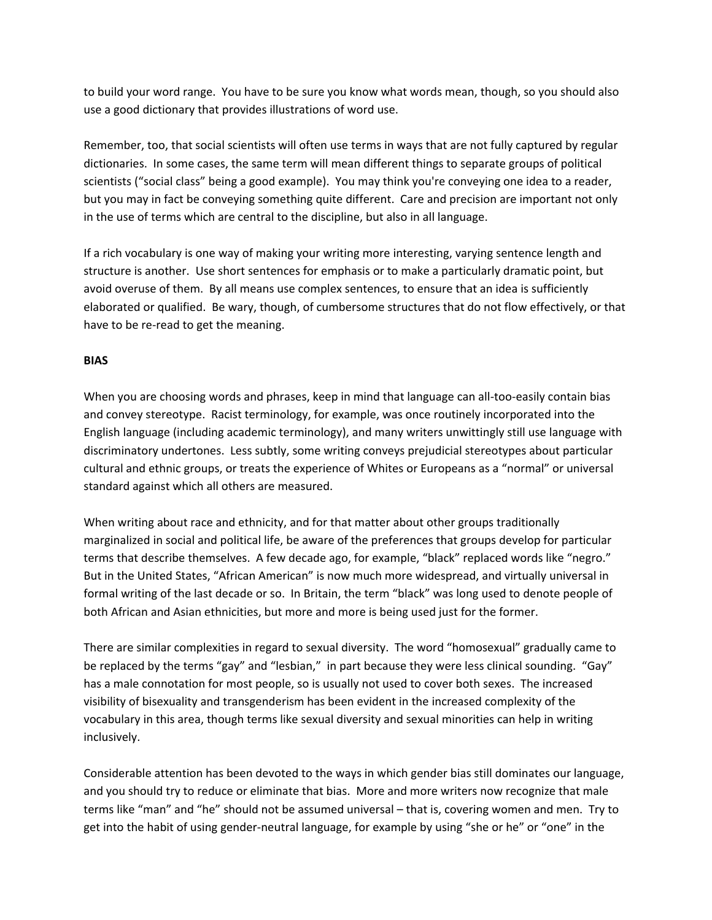to build your word range. You have to be sure you know what words mean, though, so you should also use a good dictionary that provides illustrations of word use.

Remember, too, that social scientists will often use terms in ways that are not fully captured by regular dictionaries. In some cases, the same term will mean different things to separate groups of political scientists ("social class" being a good example). You may think you're conveying one idea to a reader, but you may in fact be conveying something quite different. Care and precision are important not only in the use of terms which are central to the discipline, but also in all language.

If a rich vocabulary is one way of making your writing more interesting, varying sentence length and structure is another. Use short sentences for emphasis or to make a particularly dramatic point, but avoid overuse of them. By all means use complex sentences, to ensure that an idea is sufficiently elaborated or qualified. Be wary, though, of cumbersome structures that do not flow effectively, or that have to be re‐read to get the meaning.

## **BIAS**

When you are choosing words and phrases, keep in mind that language can all-too-easily contain bias and convey stereotype. Racist terminology, for example, was once routinely incorporated into the English language (including academic terminology), and many writers unwittingly still use language with discriminatory undertones. Less subtly, some writing conveys prejudicial stereotypes about particular cultural and ethnic groups, or treats the experience of Whites or Europeans as a "normal" or universal standard against which all others are measured.

When writing about race and ethnicity, and for that matter about other groups traditionally marginalized in social and political life, be aware of the preferences that groups develop for particular terms that describe themselves. A few decade ago, for example, "black" replaced words like "negro." But in the United States, "African American" is now much more widespread, and virtually universal in formal writing of the last decade or so. In Britain, the term "black" was long used to denote people of both African and Asian ethnicities, but more and more is being used just for the former.

There are similar complexities in regard to sexual diversity. The word "homosexual" gradually came to be replaced by the terms "gay" and "lesbian," in part because they were less clinical sounding. "Gay" has a male connotation for most people, so is usually not used to cover both sexes. The increased visibility of bisexuality and transgenderism has been evident in the increased complexity of the vocabulary in this area, though terms like sexual diversity and sexual minorities can help in writing inclusively.

Considerable attention has been devoted to the ways in which gender bias still dominates our language, and you should try to reduce or eliminate that bias. More and more writers now recognize that male terms like "man" and "he" should not be assumed universal – that is, covering women and men. Try to get into the habit of using gender‐neutral language, for example by using "she or he" or "one" in the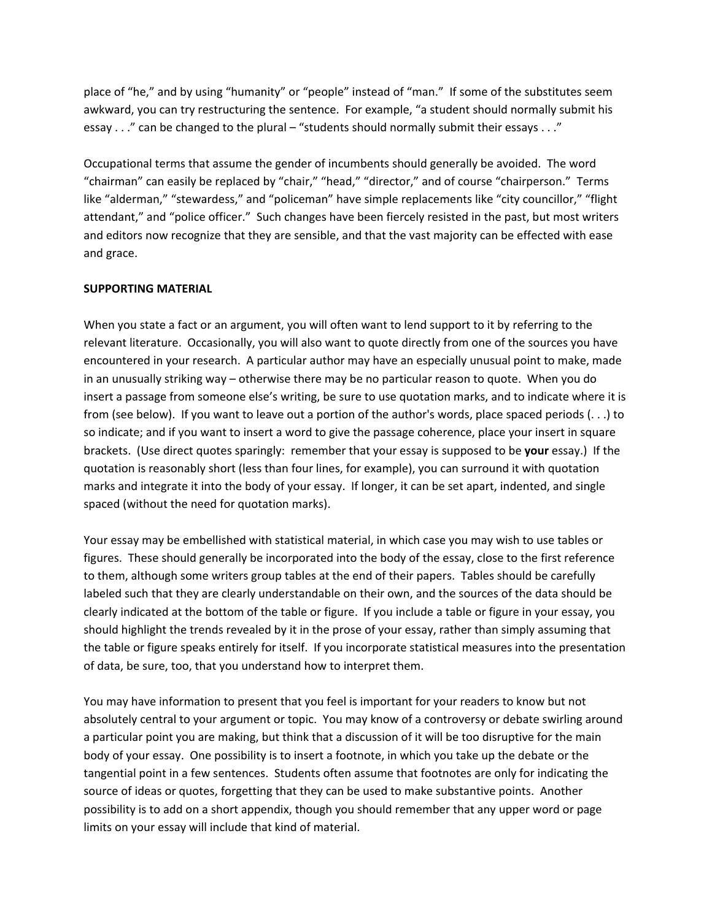place of "he," and by using "humanity" or "people" instead of "man." If some of the substitutes seem awkward, you can try restructuring the sentence. For example, "a student should normally submit his essay . . ." can be changed to the plural – "students should normally submit their essays . . ."

Occupational terms that assume the gender of incumbents should generally be avoided. The word "chairman" can easily be replaced by "chair," "head," "director," and of course "chairperson." Terms like "alderman," "stewardess," and "policeman" have simple replacements like "city councillor," "flight attendant," and "police officer." Such changes have been fiercely resisted in the past, but most writers and editors now recognize that they are sensible, and that the vast majority can be effected with ease and grace.

## **SUPPORTING MATERIAL**

When you state a fact or an argument, you will often want to lend support to it by referring to the relevant literature. Occasionally, you will also want to quote directly from one of the sources you have encountered in your research. A particular author may have an especially unusual point to make, made in an unusually striking way – otherwise there may be no particular reason to quote. When you do insert a passage from someone else's writing, be sure to use quotation marks, and to indicate where it is from (see below). If you want to leave out a portion of the author's words, place spaced periods (. . .) to so indicate; and if you want to insert a word to give the passage coherence, place your insert in square brackets. (Use direct quotes sparingly: remember that your essay is supposed to be **your** essay.) If the quotation is reasonably short (less than four lines, for example), you can surround it with quotation marks and integrate it into the body of your essay. If longer, it can be set apart, indented, and single spaced (without the need for quotation marks).

Your essay may be embellished with statistical material, in which case you may wish to use tables or figures. These should generally be incorporated into the body of the essay, close to the first reference to them, although some writers group tables at the end of their papers. Tables should be carefully labeled such that they are clearly understandable on their own, and the sources of the data should be clearly indicated at the bottom of the table or figure. If you include a table or figure in your essay, you should highlight the trends revealed by it in the prose of your essay, rather than simply assuming that the table or figure speaks entirely for itself. If you incorporate statistical measures into the presentation of data, be sure, too, that you understand how to interpret them.

You may have information to present that you feel is important for your readers to know but not absolutely central to your argument or topic. You may know of a controversy or debate swirling around a particular point you are making, but think that a discussion of it will be too disruptive for the main body of your essay. One possibility is to insert a footnote, in which you take up the debate or the tangential point in a few sentences. Students often assume that footnotes are only for indicating the source of ideas or quotes, forgetting that they can be used to make substantive points. Another possibility is to add on a short appendix, though you should remember that any upper word or page limits on your essay will include that kind of material.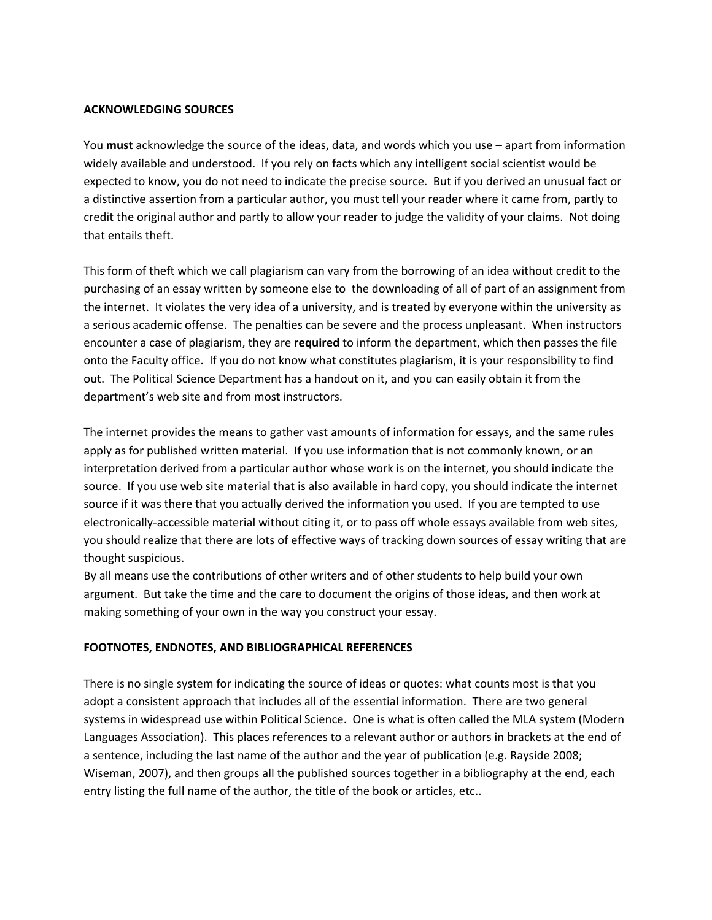#### **ACKNOWLEDGING SOURCES**

You **must** acknowledge the source of the ideas, data, and words which you use – apart from information widely available and understood. If you rely on facts which any intelligent social scientist would be expected to know, you do not need to indicate the precise source. But if you derived an unusual fact or a distinctive assertion from a particular author, you must tell your reader where it came from, partly to credit the original author and partly to allow your reader to judge the validity of your claims. Not doing that entails theft.

This form of theft which we call plagiarism can vary from the borrowing of an idea without credit to the purchasing of an essay written by someone else to the downloading of all of part of an assignment from the internet. It violates the very idea of a university, and is treated by everyone within the university as a serious academic offense. The penalties can be severe and the process unpleasant. When instructors encounter a case of plagiarism, they are **required** to inform the department, which then passes the file onto the Faculty office. If you do not know what constitutes plagiarism, it is your responsibility to find out. The Political Science Department has a handout on it, and you can easily obtain it from the department's web site and from most instructors.

The internet provides the means to gather vast amounts of information for essays, and the same rules apply as for published written material. If you use information that is not commonly known, or an interpretation derived from a particular author whose work is on the internet, you should indicate the source. If you use web site material that is also available in hard copy, you should indicate the internet source if it was there that you actually derived the information you used. If you are tempted to use electronically‐accessible material without citing it, or to pass off whole essays available from web sites, you should realize that there are lots of effective ways of tracking down sources of essay writing that are thought suspicious.

By all means use the contributions of other writers and of other students to help build your own argument. But take the time and the care to document the origins of those ideas, and then work at making something of your own in the way you construct your essay.

## **FOOTNOTES, ENDNOTES, AND BIBLIOGRAPHICAL REFERENCES**

There is no single system for indicating the source of ideas or quotes: what counts most is that you adopt a consistent approach that includes all of the essential information. There are two general systems in widespread use within Political Science. One is what is often called the MLA system (Modern Languages Association). This places references to a relevant author or authors in brackets at the end of a sentence, including the last name of the author and the year of publication (e.g. Rayside 2008; Wiseman, 2007), and then groups all the published sources together in a bibliography at the end, each entry listing the full name of the author, the title of the book or articles, etc..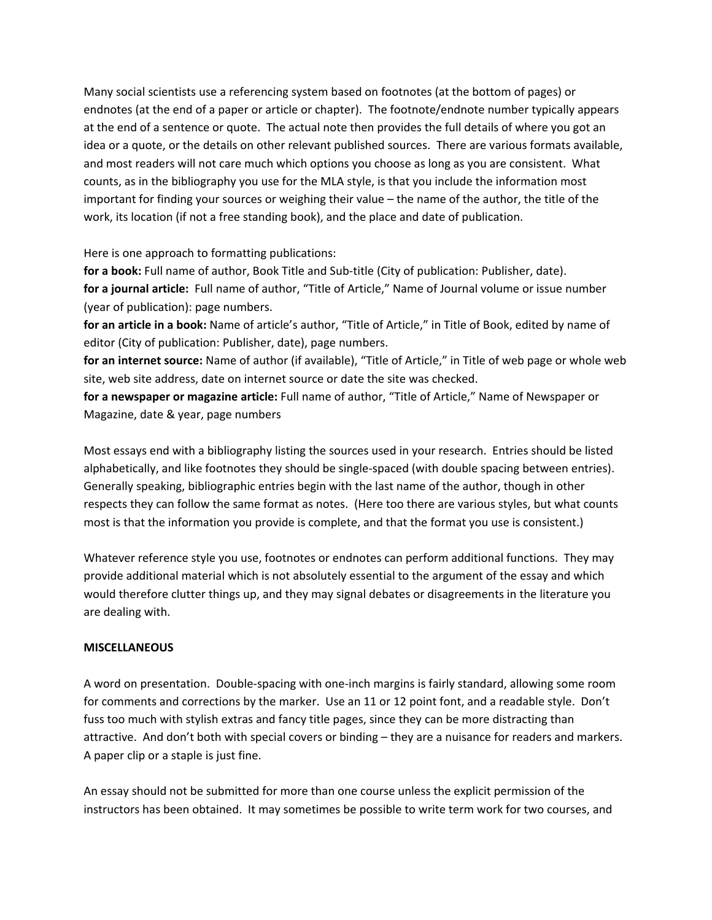Many social scientists use a referencing system based on footnotes (at the bottom of pages) or endnotes (at the end of a paper or article or chapter). The footnote/endnote number typically appears at the end of a sentence or quote. The actual note then provides the full details of where you got an idea or a quote, or the details on other relevant published sources. There are various formats available, and most readers will not care much which options you choose as long as you are consistent. What counts, as in the bibliography you use for the MLA style, is that you include the information most important for finding your sources or weighing their value – the name of the author, the title of the work, its location (if not a free standing book), and the place and date of publication.

Here is one approach to formatting publications:

for a book: Full name of author, Book Title and Sub-title (City of publication: Publisher, date). **for a journal article:** Full name of author, "Title of Article," Name of Journal volume or issue number (year of publication): page numbers.

**for an article in a book:** Name of article's author, "Title of Article," in Title of Book, edited by name of editor (City of publication: Publisher, date), page numbers.

**for an internet source:** Name of author (if available), "Title of Article," in Title of web page or whole web site, web site address, date on internet source or date the site was checked.

**for a newspaper or magazine article:** Full name of author, "Title of Article," Name of Newspaper or Magazine, date & year, page numbers

Most essays end with a bibliography listing the sources used in your research. Entries should be listed alphabetically, and like footnotes they should be single‐spaced (with double spacing between entries). Generally speaking, bibliographic entries begin with the last name of the author, though in other respects they can follow the same format as notes. (Here too there are various styles, but what counts most is that the information you provide is complete, and that the format you use is consistent.)

Whatever reference style you use, footnotes or endnotes can perform additional functions. They may provide additional material which is not absolutely essential to the argument of the essay and which would therefore clutter things up, and they may signal debates or disagreements in the literature you are dealing with.

## **MISCELLANEOUS**

A word on presentation. Double‐spacing with one‐inch margins is fairly standard, allowing some room for comments and corrections by the marker. Use an 11 or 12 point font, and a readable style. Don't fuss too much with stylish extras and fancy title pages, since they can be more distracting than attractive. And don't both with special covers or binding – they are a nuisance for readers and markers. A paper clip or a staple is just fine.

An essay should not be submitted for more than one course unless the explicit permission of the instructors has been obtained. It may sometimes be possible to write term work for two courses, and